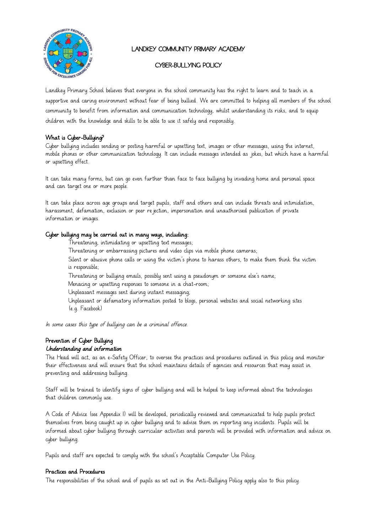

# LANDKEY COMMUNITY PRIMARY ACADEMY

# CYBER-BULLYING POLICY

Landkey Primary School believes that everyone in the school community has the right to learn and to teach in a supportive and caring environment without fear of being bullied. We are committed to helping all members of the school community to benefit from information and communication technology, whilst understanding its risks, and to equip children with the knowledge and skills to be able to use it safely and responsibly.

## What is Cyber-Bullying?

Cyber bullying includes sending or posting harmful or upsetting text, images or other messages, using the internet, mobile phones or other communication technology. It can include messages intended as jokes, but which have a harmful or upsetting effect.

It can take many forms, but can go even further than face to face bullying by invading home and personal space and can target one or more people.

It can take place across age groups and target pupils, staff and others and can include threats and intimidation, harassment, defamation, exclusion or peer rejection, impersonation and unauthorised publication of private information or images.

### Cyber bullying may be carried out in many ways, including:

Threatening, intimidating or upsetting text messages;

Threatening or embarrassing pictures and video clips via mobile phone cameras;

Silent or abusive phone calls or using the victim's phone to harass others, to make them think the victim is responsible;

Threatening or bullying emails, possibly sent using a pseudonym or someone else's name;

Menacing or upsetting responses to someone in a chat-room;

Unpleasant messages sent during instant messaging;

Unpleasant or defamatory information posted to blogs, personal websites and social networking sites (e.g. Facebook)

In some cases this type of bullying can be a criminal offence.

## Prevention of Cyber Bullying Understanding and information

The Head will act, as an e-Safety Officer, to oversee the practices and procedures outlined in this policy and monitor their effectiveness and will ensure that the school maintains details of agencies and resources that may assist in preventing and addressing bullying.

Staff will be trained to identify signs of cyber bullying and will be helped to keep informed about the technologies that children commonly use.

A Code of Advice (see Appendix 1) will be developed, periodically reviewed and communicated to help pupils protect themselves from being caught up in cyber bullying and to advise them on reporting any incidents. Pupils will be informed about cyber bullying through curricular activities and parents will be provided with information and advice on cyber bullying.

Pupils and staff are expected to comply with the school's Acceptable Computer Use Policy.

### Practices and Procedures

The responsibilities of the school and of pupils as set out in the Anti-Bullying Policy apply also to this policy.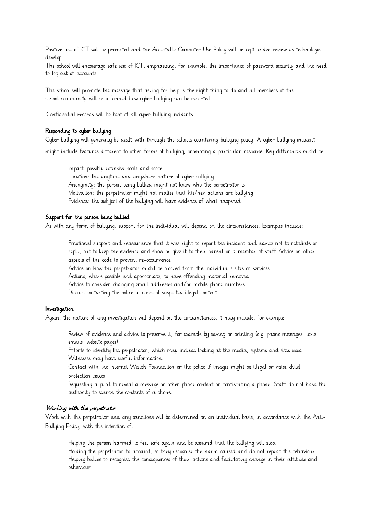Positive use of ICT will be promoted and the Acceptable Computer Use Policy will be kept under review as technologies develop.

The school will encourage safe use of ICT, emphasising, for example, the importance of password security and the need to log out of accounts.

The school will promote the message that asking for help is the right thing to do and all members of the school community will be informed how cyber bullying can be reported.

·Confidential records will be kept of all cyber bullying incidents.

#### Responding to cyber bullying

Cyber bullying will generally be dealt with through the schools countering-bullying policy. A cyber bullying incident

might include features different to other forms of bullying, prompting a particular response. Key differences might be:

Impact: possibly extensive scale and scope Location: the anytime and anywhere nature of cyber bullying Anonymity: the person being bullied might not know who the perpetrator is Motivation: the perpetrator might not realise that his/her actions are bullying Evidence: the subject of the bullying will have evidence of what happened

### Support for the person being bullied

As with any form of bullying, support for the individual will depend on the circumstances. Examples include:

Emotional support and reassurance that it was right to report the incident and advice not to retaliate or reply, but to keep the evidence and show or give it to their parent or a member of staff Advice on other aspects of the code to prevent re-occurrence

Advice on how the perpetrator might be blocked from the individual's sites or services Actions, where possible and appropriate, to have offending material removed

Advice to consider changing email addresses and/or mobile phone numbers

Discuss contacting the police in cases of suspected illegal content

#### Investigation

Again, the nature of any investigation will depend on the circumstances. It may include, for example,

Review of evidence and advice to preserve it, for example by saving or printing (e.g. phone messages, texts, emails, website pages)

Efforts to identify the perpetrator, which may include looking at the media, systems and sites used. Witnesses may have useful information.

Contact with the Internet Watch Foundation or the police if images might be illegal or raise child protection issues

Requesting a pupil to reveal a message or other phone content or confiscating a phone. Staff do not have the authority to search the contents of a phone.

#### Working with the perpetrator

Work with the perpetrator and any sanctions will be determined on an individual basis, in accordance with the Anti-Bullying Policy, with the intention of:

Helping the person harmed to feel safe again and be assured that the bullying will stop.

Holding the perpetrator to account, so they recognise the harm caused and do not repeat the behaviour. Helping bullies to recognise the consequences of their actions and facilitating change in their attitude and behaviour.